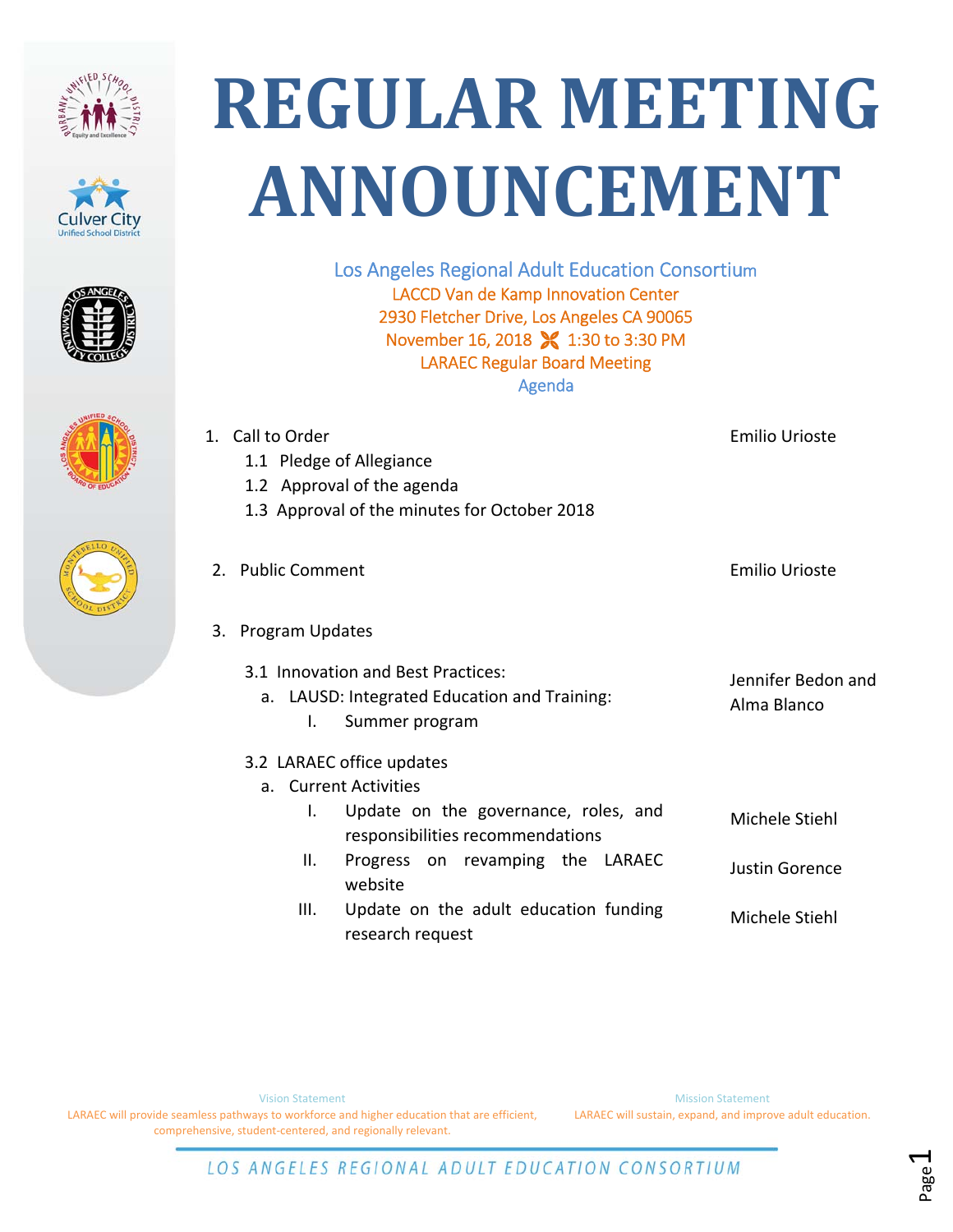









Los Angeles Regional Adult Education Consortium LACCD Van de Kamp Innovation Center 2930 Fletcher Drive, Los Angeles CA 90065 November 16, 2018 **X** 1:30 to 3:30 PM LARAEC Regular Board Meeting Agenda

|    | Call to Orucl<br>1.1 Pledge of Allegiance<br>1.2 Approval of the agenda<br>1.3 Approval of the minutes for October 2018 | טונט טווויום                      |  |
|----|-------------------------------------------------------------------------------------------------------------------------|-----------------------------------|--|
| 2. | <b>Public Comment</b>                                                                                                   | <b>Emilio Urioste</b>             |  |
| 3. | Program Updates                                                                                                         |                                   |  |
|    | 3.1 Innovation and Best Practices:<br>a. LAUSD: Integrated Education and Training:<br>I.<br>Summer program              | Jennifer Bedon and<br>Alma Blanco |  |
|    | 3.2 LARAEC office updates                                                                                               |                                   |  |
|    | a. Current Activities<br>Update on the governance, roles, and<br>I.<br>responsibilities recommendations                 | Michele Stiehl                    |  |
|    | Progress on revamping the LARAEC<br>II.<br>website                                                                      | <b>Justin Gorence</b>             |  |
|    | Update on the adult education funding<br>III.                                                                           | Michele Stiehl                    |  |

Vision Statement LARAEC will provide seamless pathways to workforce and higher education that are efficient, comprehensive, student‐centered, and regionally relevant.

Call to Order

Mission Statement LARAEC will sustain, expand, and improve adult education.

Emilio Urioste

research request

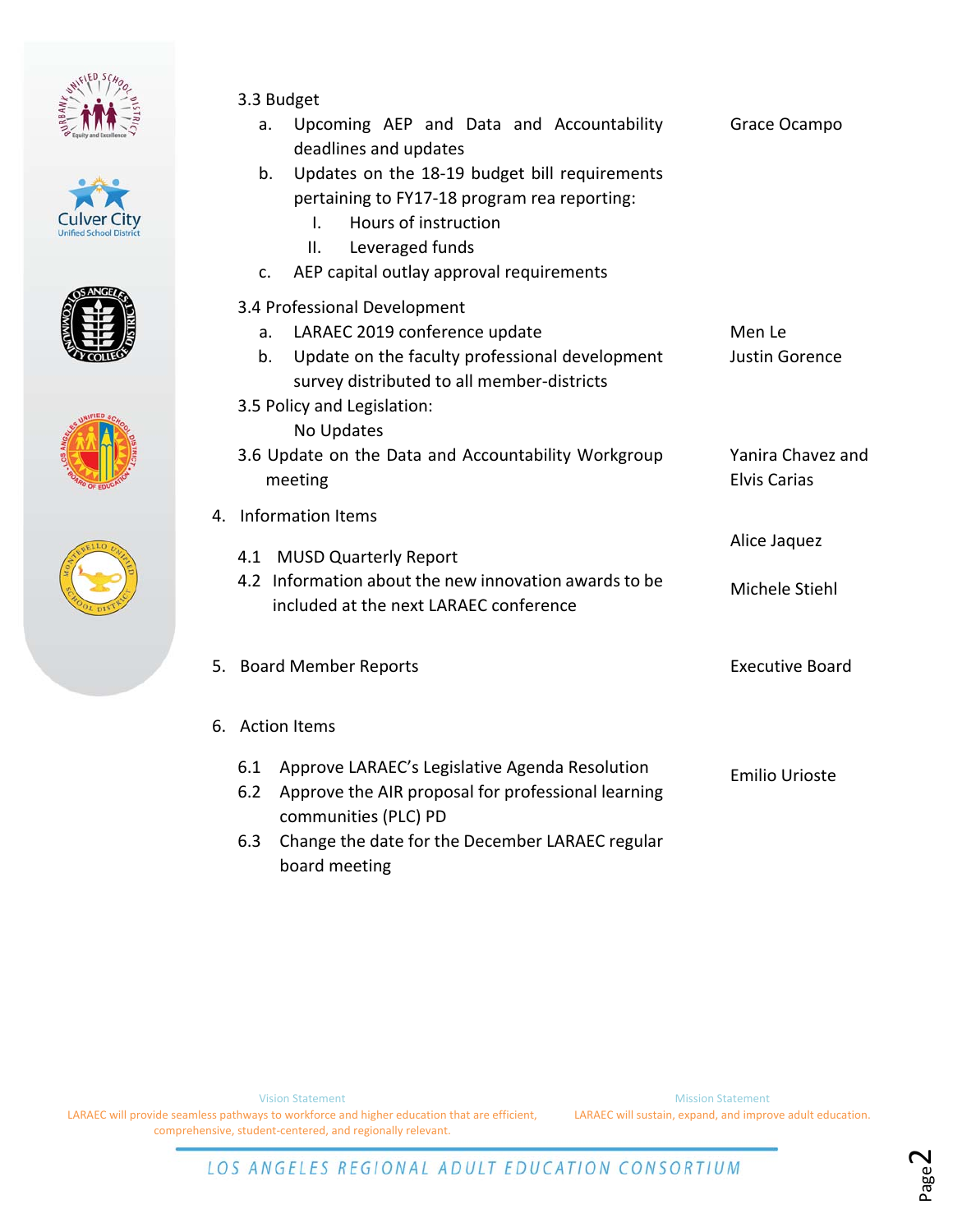









- 3.3 Budget
	- a. Upcoming AEP and Data and Accountability deadlines and updates Grace Ocampo
	- b. Updates on the 18‐19 budget bill requirements pertaining to FY17‐18 program rea reporting:
		- I. Hours of instruction
		- II. Leveraged funds
	- c. AEP capital outlay approval requirements

## 3.4 Professional Development

| a.  | LARAEC 2019 conference update                                                                   | Men Le                                   |
|-----|-------------------------------------------------------------------------------------------------|------------------------------------------|
| b.  | Update on the faculty professional development<br>survey distributed to all member-districts    | <b>Justin Gorence</b>                    |
|     | 3.5 Policy and Legislation:                                                                     |                                          |
|     | No Updates                                                                                      |                                          |
|     | 3.6 Update on the Data and Accountability Workgroup<br>meeting                                  | Yanira Chavez and<br><b>Elvis Carias</b> |
|     | 4. Information Items                                                                            |                                          |
| 4.1 | <b>MUSD Quarterly Report</b>                                                                    | Alice Jaquez                             |
|     | 4.2 Information about the new innovation awards to be<br>included at the next LARAEC conference | Michele Stiehl                           |

5. Board Member Reports **1996** Securities Board

## 6. Action Items

- 6.1 Approve LARAEC's Legislative Agenda Resolution 6.2 Approve the AIR proposal for professional learning communities (PLC) PD Emilio Urioste
- 6.3 Change the date for the December LARAEC regular board meeting

LARAEC will provide seamless pathways to workforce and higher education that are efficient, comprehensive, student‐centered, and regionally relevant.

Mission Statement LARAEC will sustain, expand, and improve adult education.